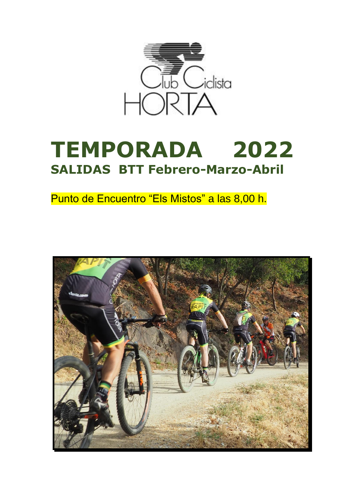

# **TEMPORADA 2022 SALIDAS BTT Febrero-Marzo-Abril**

Punto de Encuentro "Els Mistos" a las 8,00 h.

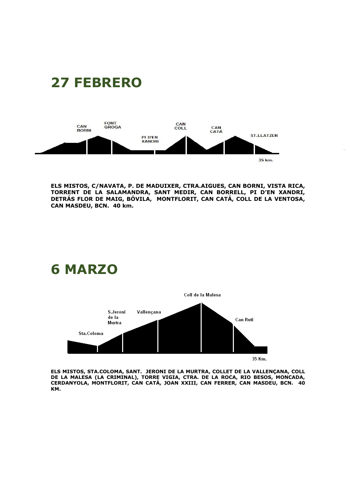

**27 FEBRERO**

**ELS MISTOS, C/NAVATA, P. DE MADUIXER, CTRA.AIGUES, CAN BORNI, VISTA RICA, TORRENT DE LA SALAMANDRA, SANT MEDIR, CAN BORRELL, PI D'EN XANDRI, DETRÁS FLOR DE MAIG, BÓVILA, MONTFLORIT, CAN CATÁ, COLL DE LA VENTOSA, CAN MASDEU, BCN. 40 km.**



**ELS MISTOS, STA.COLOMA, SANT. JERONI DE LA MURTRA, COLLET DE LA VALLENÇANA, COLL DE LA MALESA (LA CRIMINAL), TORRE VIGIA, CTRA. DE LA ROCA, RIO BESOS, MONCADA, CERDANYOLA, MONTFLORIT, CAN CATÁ, JOAN XXIII, CAN FERRER, CAN MASDEU, BCN. 40 KM.**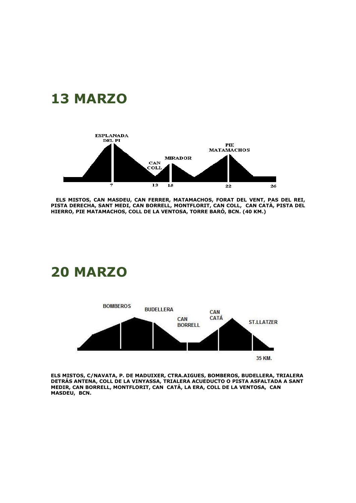



 **ELS MISTOS, CAN MASDEU, CAN FERRER, MATAMACHOS, FORAT DEL VENT, PAS DEL REI, PISTA DERECHA, SANT MEDI, CAN BORRELL, MONTFLORIT, CAN COLL, CAN CATÀ, PISTA DEL HIERRO, PIE MATAMACHOS, COLL DE LA VENTOSA, TORRE BARÓ, BCN. (40 KM.)**

#### **20 MARZO**



**ELS MISTOS, C/NAVATA, P. DE MADUIXER, CTRA.AIGUES, BOMBEROS, BUDELLERA, TRIALERA DETRÁS ANTENA, COLL DE LA VINYASSA, TRIALERA ACUEDUCTO O PISTA ASFALTADA A SANT MEDIR, CAN BORRELL, MONTFLORIT, CAN CATÁ, LA ERA, COLL DE LA VENTOSA, CAN MASDEU, BCN.**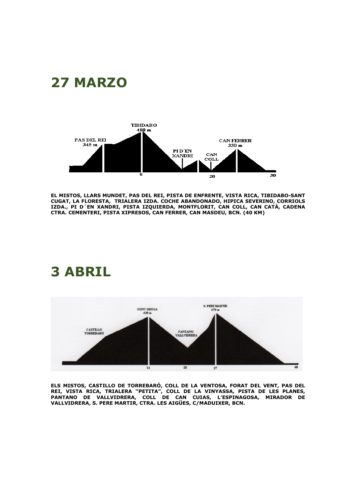## **27 MARZO**



**EL MISTOS, LLARS MUNDET, PAS DEL REI, PISTA DE ENFRENTE, VISTA RICA, TIBIDABO-SANT CUGAT, LA FLORESTA, TRIALERA IZDA. COCHE ABANDONADO, HIPICA SEVERINO, CORRIOLS IZDA., PI D´EN XANDRI, PISTA IZQUIERDA, MONTFLORIT, CAN COLL, CAN CATÀ, CADENA CTRA. CEMENTERI, PISTA XIPRESOS, CAN FERRER, CAN MASDEU, BCN. (40 KM)**

#### **3 ABRIL**



**ELS MISTOS, CASTILLO DE TORREBARÓ, COLL DE LA VENTOSA, FORAT DEL VENT, PAS DEL REI, VISTA RICA, TRIALERA "PETITA", COLL DE LA VINYASSA, PISTA DE LES PLANES, PANTANO DE VALLVIDRERA, COLL DE CAN CUIAS, L'ESPINAGOSA, MIRADOR DE VALLVIDRERA, S. PERE MARTIR, CTRA. LES AIGÜES, C/MADUIXER, BCN.**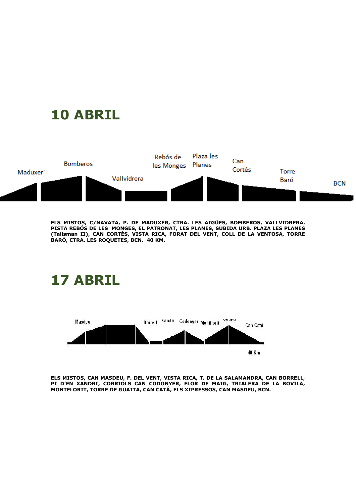## **10 ABRIL**



**ELS MISTOS, C/NAVATA, P. DE MADUXER, CTRA. LES AIGÜES, BOMBEROS, VALLVIDRERA, PISTA REBÓS DE LES MONGES, EL PATRONAT, LES PLANES, SUBIDA URB. PLAZA LES PLANES (Talisman II), CAN CORTÉS, VISTA RICA, FORAT DEL VENT, COLL DE LA VENTOSA, TORRE BARÓ, CTRA. LES ROQUETES, BCN. 40 KM.**

### **17 ABRIL**



**ELS MISTOS, CAN MASDEU, F. DEL VENT, VISTA RICA, T. DE LA SALAMANDRA, CAN BORRELL, PI D'EN XANDRI, CORRIOLS CAN CODONYER, FLOR DE MAIG, TRIALERA DE LA BOVILA, MONTFLORIT, TORRE DE GUAITA, CAN CATÁ, ELS XIPRESSOS, CAN MASDEU, BCN.**